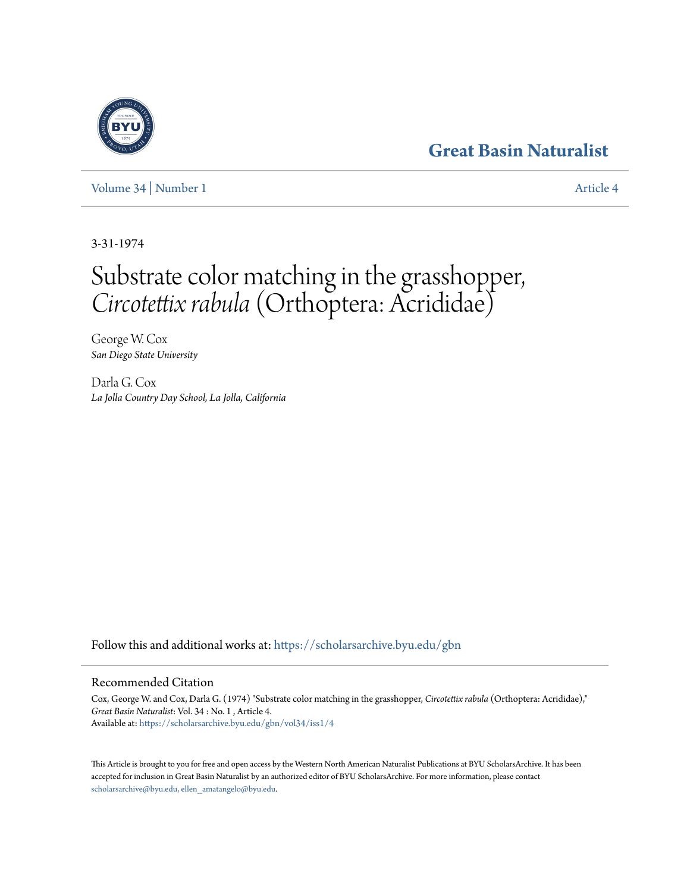## **[Great Basin Naturalist](https://scholarsarchive.byu.edu/gbn?utm_source=scholarsarchive.byu.edu%2Fgbn%2Fvol34%2Fiss1%2F4&utm_medium=PDF&utm_campaign=PDFCoverPages)**

[Volume 34](https://scholarsarchive.byu.edu/gbn/vol34?utm_source=scholarsarchive.byu.edu%2Fgbn%2Fvol34%2Fiss1%2F4&utm_medium=PDF&utm_campaign=PDFCoverPages) | [Number 1](https://scholarsarchive.byu.edu/gbn/vol34/iss1?utm_source=scholarsarchive.byu.edu%2Fgbn%2Fvol34%2Fiss1%2F4&utm_medium=PDF&utm_campaign=PDFCoverPages) [Article 4](https://scholarsarchive.byu.edu/gbn/vol34/iss1/4?utm_source=scholarsarchive.byu.edu%2Fgbn%2Fvol34%2Fiss1%2F4&utm_medium=PDF&utm_campaign=PDFCoverPages)

3-31-1974

# Substrate color matching in the grasshopper, *Circotettix rabula*(Orthoptera: Acrididae)

George W. Cox *San Diego State University*

Darla G. Cox *La Jolla Country Day School, La Jolla, California*

Follow this and additional works at: [https://scholarsarchive.byu.edu/gbn](https://scholarsarchive.byu.edu/gbn?utm_source=scholarsarchive.byu.edu%2Fgbn%2Fvol34%2Fiss1%2F4&utm_medium=PDF&utm_campaign=PDFCoverPages)

### Recommended Citation

Cox, George W. and Cox, Darla G. (1974) "Substrate color matching in the grasshopper, *Circotettix rabula* (Orthoptera: Acrididae)," *Great Basin Naturalist*: Vol. 34 : No. 1 , Article 4. Available at: [https://scholarsarchive.byu.edu/gbn/vol34/iss1/4](https://scholarsarchive.byu.edu/gbn/vol34/iss1/4?utm_source=scholarsarchive.byu.edu%2Fgbn%2Fvol34%2Fiss1%2F4&utm_medium=PDF&utm_campaign=PDFCoverPages)

This Article is brought to you for free and open access by the Western North American Naturalist Publications at BYU ScholarsArchive. It has been accepted for inclusion in Great Basin Naturalist by an authorized editor of BYU ScholarsArchive. For more information, please contact [scholarsarchive@byu.edu, ellen\\_amatangelo@byu.edu.](mailto:scholarsarchive@byu.edu,%20ellen_amatangelo@byu.edu)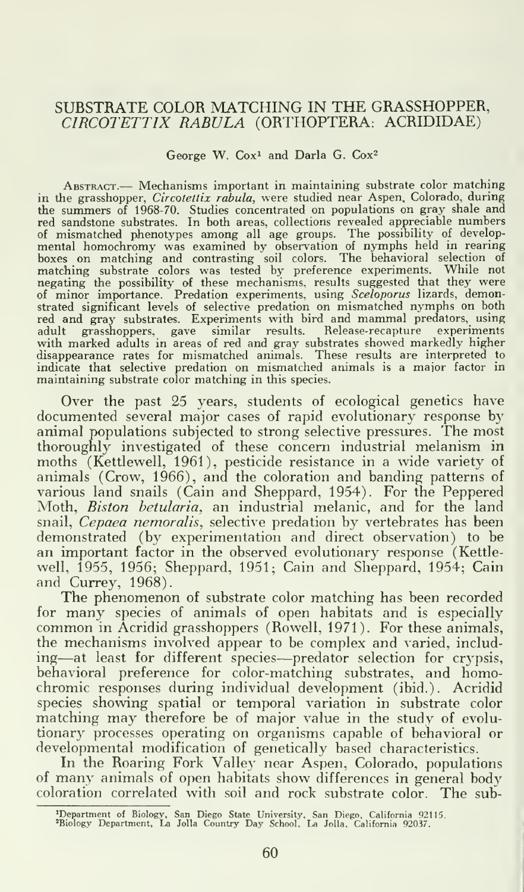#### SUBSTRATE COLOR MATCHING IN THE GRASSHOPPER, CIRCOTETTIX RABULA (ORIHOPTERA: ACRIDIDAE)

#### George W.  $C_0x^1$  and Darla G.  $C_0x^2$

ABSTRACT.— Mechanisms important in maintaining substrate color matching in the grasshopper, *Circotettix rabula*, were studied near Aspen, Colorado, during the summers of 1968-70. Studies concentrated on populations on gray shale and red sandstone substrates. In both areas, collections revealed appreciable numbers of mismatched phenotypes among all age groups. The possibility of develop- mental homochromy was examined by observation of nymphs held in rearing boxes on matching and contrasting soil colors. The behavioral selection of matching substrate colors was tested by preference experiments. While not negating the possibility of these mechanisms, results suggested that they were of minor importance. Predation experiments, using *Sceloporus* lizards, demonstrated significant levels of selective predation on mismatched nymphs on both red and gray substrates. Experiments with bird and mammal predators, using adult grasshoppers, gave similar results. Release-recapture experiments with marked adults in areas of red and gray substrates showed markedly higher disappearance rates for mismatched animals. These results are interpreted to indicate that selective predation on mismatched animals is a major factor in maintaining substrate color matching in this species.

Over the past 25 years, students of ecological genetics have documented several major cases of rapid evolutionary response by animal populations subjected to strong selective pressures. The most thoroughly investigated of these concern industrial melanism in moths (Kettlewell, 1961), pesticide resistance in a wide variety of animals (Crow, 1966), and the coloration and banding patterns of various land snails (Cain and Sheppard, 1954). For the Peppered Moth, Biston betularia, an industrial melanic, and for the land snail, *Cepaea nemoralis*, selective predation by vertebrates has been demonstrated (by experimentation and direct observation) to be an important factor in the observed evolutionary response (Kettlewell, 1955, 1956; Sheppard, 1951; Cain and Sheppard, 1954; Cain and Currey, 1968).

The phenomenon of substrate color matching has been recorded for many species of animals of open habitats and is especially common in Acridid grasshoppers (Rowell, 1971). For these animals, the mechanisms involved appear to be complex and varied, including—at least for different species—predator selection for crypsis, behavioral preference for color-matching substrates, and homochromic responses during individual development (ibid.). Acridid species showing spatial or temporal variation in substrate color matching may therefore be of major value in the study of evolutionary processes operating on organisms capable of behavioral or developmental modification of genetically based characteristics.

In the Roaring Fork Valley near Aspen, Colorado, populations of many animals of open habitats show differences in general body coloration correlated with soil and rock substrate color. The sub-

<sup>&#</sup>x27;Department of Biology, San Diego State University, San Diego, California 92115. 'Biology Department, La Jolla Country Day School, La Jolla, California 92037.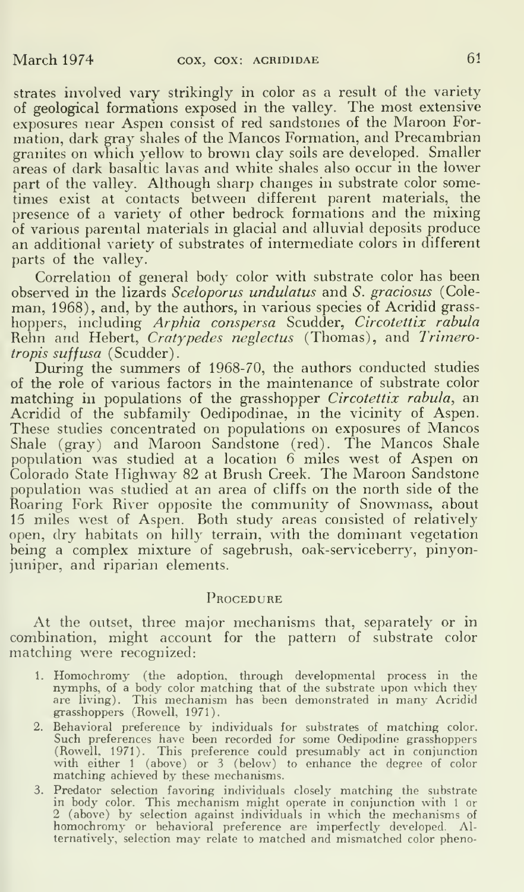strates involved vary strikingly in color as a result of the variety of geological formations exposed in the valley. The most extensive exposures near Aspen consist of red sandstones of the Maroon For mation, dark gray shales of the Mancos Formation, and Precambrian granites on which yellow to brown clay soils are developed. Smaller areas of dark basaltic lavas and white shales also occur in the lower part of the valley. Although sharp changes in substrate color sometimes exist at contacts between different parent materials, the presence of a variety of other bedrock formations and the mixing of various parental materials in glacial and alluvial deposits produce an additional variety of substrates of intermediate colors in different parts of the valley.

Correlation of general body color with substrate color has been observed in the lizards Sceloporus undulatus and S. graciosus (Coleman, 1968), and, by the authors, in various species of Acridid grasshoppers, including *Arphia conspersa* Scudder, C*ircotettix rabula* and Rehn and Hebert, Cratypedes neglectus (Thomas), and Trimerotropis suffusa (Scudder).

During the summers of 1968-70, the authors conducted studies of the role of various factors in the maintenance of substrate color matching in populations of the grasshopper Circotettix rabula, an Acridid of the subfamily Oedipodinae, in the vicinity of Aspen. These studies concentrated on populations on exposures of Mancos Shale (gray) and Maroon Sandstone (red). The Mancos Shale population was studied at a location  $\hat{6}$  miles west of Aspen on Colorado State Highway 82 at Brush Creek. The Maroon Sandstone population was studied at an area of cliffs on the north side of the Roaring Fork River opposite the community of Snowmass, about 15 miles west of Aspen. Both study areas consisted of relatively open, dry habitats on hilly terrain, with the dominant vegetation being a complex mixture of sagebrush, oak-serviceberry, pinyonjuniper, and riparian elements.

#### PROCEDURE

At the outset, three major mechanisms that, separately or in combination, might account for the pattern of substrate color matching were recognized:

- 1. Homochromy (the adoption, through developmental process in the nymphs, of a body color matching that of the substrate upon which they are living). This mechanism has been demonstrated in many Acridid grasshoppers (Rowell, 1971).
- 2. Behavioral preference by individuals for substrates of matching color. Such preferences have been recorded for some Oedipodine grasshoppers (Rowell. 1971). This preference could presumably act in conjunction with either 1 (above) or 3 (below) to enhance the degree of color matching achieved by these mechanisms.
- 3. Predator selection favoring individuals closely matching the substrate in body color. This mechanism might operate in conjunction with <sup>1</sup> or <sup>2</sup> (above) by selection against individuals in which the mechanisms of homochromy or behavioral preference are imperfectly developed. Alternatively, selection may relate to matched and mismatched color pheno-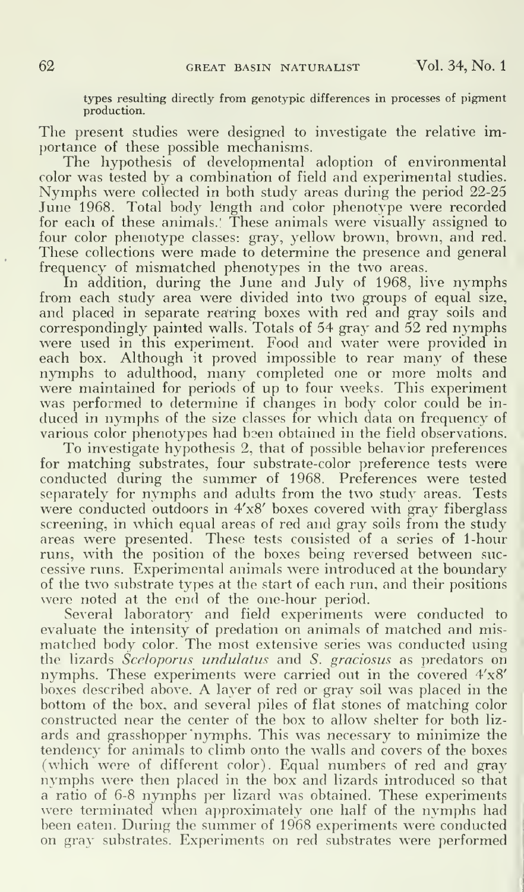types resulting directly from genotypic differences in processes of pigment production.

The present studies were designed to investigate the relative importance of these possible mechanisms.

The hypothesis of developmental adoption of environmental color was tested by a combination of field and experimental studies. Nymphs were collected in both study areas during the period 22-25 June 1968. Total body length and color phenotype were recorded for each of these animals.' These animals were visually assigned to four color phenotype classes: gray, yellow brown, brown, and red. These collections were made to determine the presence and general frequency of mismatched phenotypes in the two areas.

In addition, during the June and July of 1968, live nymphs from each study area were divided into two groups of equal size, and placed in separate rearing boxes with red and gray soils and correspondingly painted walls. Totals of 54 gray and 52 red nymphs were used in this experiment. Food and water were provided in each box. Although it proved impossible to rear many of these nymphs to adulthood, many completed one or more molts and were maintained for periods of up to four weeks. This experiment was performed to determine if changes in body color could be in duced in nymphs of the size classes for which data on frequency of various color phenotypes had been obtained in the field observations.

To investigate hypothesis 2, that of possible behavior preferences for matching substrates, four substrate-color preference tests were conducted during the summer of 1968. Preferences were tested separately for nymphs and adults from the two study areas. Tests were conducted outdoors in 4'x8' boxes covered with gray fiberglass screening, in which equal areas of red and gray soils from the study areas were presented. These tests consisted of a series of 1-hour runs, with the position of the boxes being reversed between successive runs. Experimental animals were introduced at the boundary of the two substrate types at the start of each run, and their positions were noted at the end of the one-hour period.

Several laboratory' and field experiments were conducted to evaluate the intensity of predation on animals of matched and mismatched body color. The most extensive series was conducted using the lizards Sceloporus undulatus and S. graciosus as predators on nymphs. These experiments were carried out in the covered 4'x8' boxes described above. A layer of red or gray soil was placed in the bottom of the box, and several piles of flat stones of matching color constructed near the center of the box to allow shelter for both liz ards and grasshopper 'nymphs. This was necessary to minimize the tendency for animals to climb onto the walls and covers of the boxes (which were of different color). Equal numbers of red and gray nymphs were then placed in the box and lizards introduced so that <sup>a</sup> ratio of 6-8 nymphs per lizard was obtained. These experiments were terminated when approximately one half of the nymphs had been eaten. During the summer of 1968 experiments were conducted on gray substrates. Experiments on red substrates were performed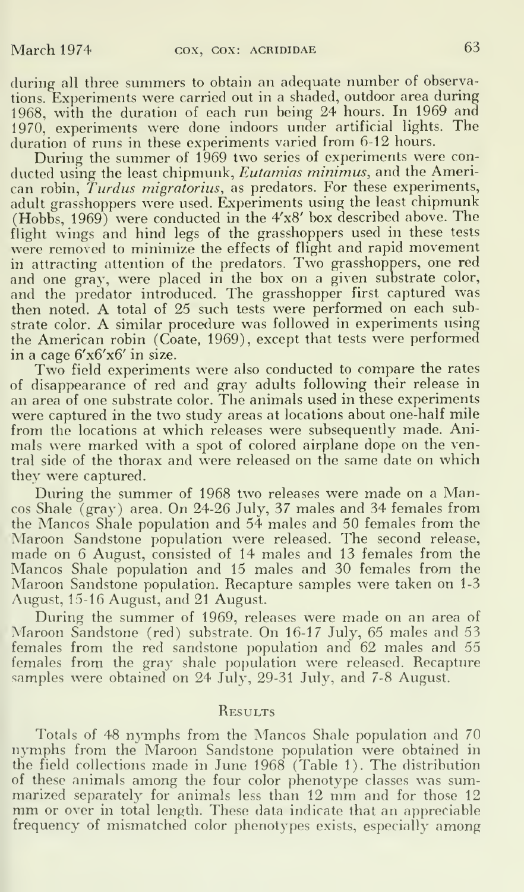during all three summers to obtain an adequate number of observations. Experiments were carried out in a shaded, outdoor area during 1968, with the duration of each run being 24 hours. In 1969 and 1970, experiments were done indoors under artificial lights. The duration of runs in these experiments varied from 6-12 hours.

During the summer of 1969 two series of experiments were con ducted using the least chipmunk, Eutamias minimus, and the American robin, Turdus migratorius, as predators. For these experiments, adult grasshoppers were used. Experiments using the least chipmunk (Hobbs, 1969) were conducted in the 4'x8' box described above. The flight wings and hind legs of the grasshoppers used in these tests were removed to minimize the effects of flight and rapid movement in attracting attention of the predators. Two grasshoppers, one red and one gray, were placed in the box on a given substrate color, and the predator introduced. The grasshopper first captured was then noted. A total of <sup>25</sup> such tests were performed on each substrate color. A similar procedure was followed in experiments using the American robin (Coate, 1969), except that tests were performed in <sup>a</sup> cage 6'x6'x6' in size. Two field experiments were also conducted to compare the rates

of disappearance of red and gray adults following their release in an area of one substrate color. The animals used in these experiments were captured in the two study areas at locations about one-half mile from the locations at which releases were subsequently made. Animals were marked with a spot of colored airplane dope on the ventral side of the thorax and were released on the same date on which they were captured.

During the summer of 1968 two releases were made on <sup>a</sup> Mancos Shale (gray) area. On 24-26 July, 37 males and 34 females from the Mancos Shale population and 54 males and 50 females from the Maroon Sandstone population were released. The second release, made on 6 August, consisted of 14 males and 13 females from the Mancos Shale population and 15 males and 30 females from the Maroon Sandstone population. Recapture samples were taken on 1-3 August. 15-16 August, and 21 August.

During the summer of 1969, releases were made on an area of Maroon Sandstone (red) substrate. On 16-17 July, 65 males and 53 females from the red sandstone population and 62 males and 55 females from the gray shale population were released. Recapture samples were obtained on 24 July, 29-31 July, and 7-8 August.

#### **RESULTS**

Totals of 48 nymphs from the Mancos Shale population and 70 nymphs from the Maroon Sandstone population were obtained in the field collections made in June 1968 (Table 1). The distribution of these animals among the four color phenotype classes was summarized separately for animals less than <sup>12</sup> mm and for those <sup>12</sup> mm or over in total length. These data indicate that an appreciable frequency of mismatched color phenotypes exists, especially among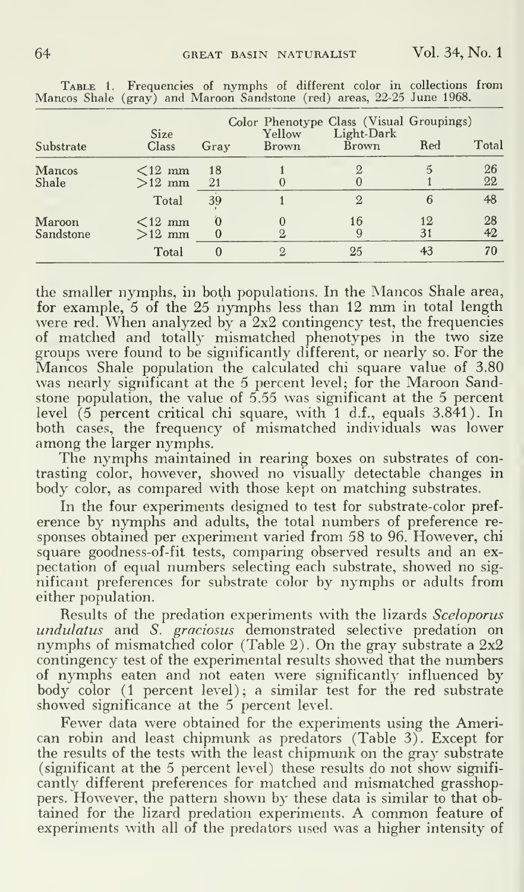| Substrate           | Size<br>Class            | Gray     | Yellow<br><b>Brown</b> | Color Phenotype Class (Visual Groupings)<br>Light-Dark<br>Brown | Red      | Total    |
|---------------------|--------------------------|----------|------------------------|-----------------------------------------------------------------|----------|----------|
| Mancos<br>Shale     | $\leq$ 12 mm<br>$>12$ mm | 18<br>21 |                        |                                                                 | h        | 26<br>22 |
|                     | Total                    | 39       |                        |                                                                 |          | 48       |
| Maroon<br>Sandstone | $\leq$ 12 mm<br>$>12$ mm |          |                        | 16                                                              | 12<br>31 | 28<br>42 |
|                     | Total                    |          |                        | 25                                                              | 43       | 70       |

Table 1. Frequencies of nymphs of different color in collections from Mancos Shale (gray) and Maroon Sandstone (red) areas, 22-25 June 1968.

the smaller nymphs, in both populations. In the Mancos Shale area, for example, 5 of the 25 nymphs less than 12 mm in total length were red. When analyzed by  $a^2 \times 2$  contingency test, the frequencies of matched and totally mismatched phenotypes in the two size groups were found to be significantly different, or nearly so. For the Mancos Shale population the calculated chi square value of 3.80 was nearly significant at the 5 percent level; for the Maroon Sandstone population, the value of 5.55 was significant at the 5 percent level  $(5)$  percent critical chi square, with 1 d.f., equals  $3.841$ ). In both cases, the frequency of mismatched individuals was lower among the larger nymphs.

The nymphs maintained in rearing boxes on substrates of contrasting color, however, showed no visually detectable changes in body color, as compared with those kept on matching substrates.

In the four experiments designed to test for substrate-color preference by nymphs and adults, the total numbers of preference responses obtained per experiment varied from 58 to 96. However, chi square goodness-of-fit tests, comparing observed results and an expectation of equal numbers selecting each substrate, showed no significant preferences for substrate color by nymphs or adults from either population.

Results of the predation experiments with the lizards Sceloporus undulatus and S. graciosus demonstrated selective predation on nymphs of mismatched color (Table 2). On the gray substrate a  $2x2$ contingency test of the experimental results showed that the numbers of nymphs eaten and not eaten were significantly influenced by body color (1 percent level); a similar test for the red substrate showed significance at the 5 percent level.

Fewer data were obtained for the experiments using the American robin and least chipmunk as predators (Table 3). Except for the results of the tests with the least chipmunk on the gray substrate (significant at the 5 percent level) these results do not show significantly different preferences for matched and mismatched grasshoppers. However, the pattern shown by these data is similar to that obtained for the lizard predation experiments. A common feature of experiments with all of the predators used was a higher intensity of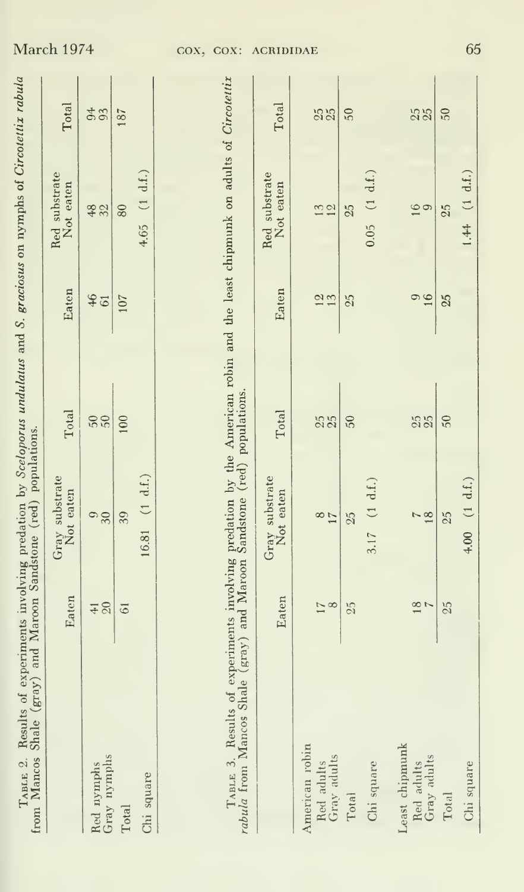| from Mancos Shale (gray) and Maroon Sandstone (red) populations.<br>TABLE 2.                                                                                                                         |                |                                       |                 |                | Results of experiments involving predation by Seeloporus undulatus and S. graciosus on nymphs of Circotettix rabula |       |
|------------------------------------------------------------------------------------------------------------------------------------------------------------------------------------------------------|----------------|---------------------------------------|-----------------|----------------|---------------------------------------------------------------------------------------------------------------------|-------|
|                                                                                                                                                                                                      | Eaten          | Gray substrate<br>Not eaten           | Total           | Eaten          | Red substrate<br>Not eaten                                                                                          | Total |
| Gray nymphs<br>Red nymphs                                                                                                                                                                            | $\frac{4}{2}$  | $\frac{30}{5}$                        | $\frac{60}{50}$ | $^{46}_{61}$   | 482                                                                                                                 | 33    |
| Total                                                                                                                                                                                                | $\overline{6}$ | 39                                    | 100             | 107            | 80                                                                                                                  | 187   |
| Chi square                                                                                                                                                                                           |                | (1 d.f.)<br>16.81                     |                 |                | (1 d.f.)<br>4.65                                                                                                    |       |
|                                                                                                                                                                                                      |                |                                       |                 |                |                                                                                                                     |       |
| TABLE 3. Results of experiments involving predation by the American robin and the least chipmunk on adults of Circotettiz<br>rabula from Mancos Shale (gray) and Maroon Sandstone (red) populations. |                |                                       |                 |                |                                                                                                                     |       |
|                                                                                                                                                                                                      | Eaten          | Gray substrate<br>Not eaten           | Total           | Eaten          | Red substrate<br>Not eaten                                                                                          | Total |
| American robin<br>Gray adults<br>Red adults                                                                                                                                                          | $\frac{7}{8}$  | $rac{8}{17}$                          | 25              | $\frac{2}{13}$ | 13/2                                                                                                                | 25    |
| Total                                                                                                                                                                                                | 25             | 25                                    | 50              | 25             | 25                                                                                                                  | 50    |
| Chi square                                                                                                                                                                                           |                | 3.17 $(1 d.f.)$                       |                 |                | $0.05$ (1 d.f.)                                                                                                     |       |
| Least chipmunk<br>Gray adults<br>Red adults                                                                                                                                                          | $\frac{8}{7}$  | $\begin{array}{c} 7 \\ 8 \end{array}$ | 25              | $\frac{0}{16}$ | $\frac{6}{9}$                                                                                                       | 25    |
| Total                                                                                                                                                                                                | 25             | 25                                    | 50              | 25             | 25                                                                                                                  | 50    |
| Chi square                                                                                                                                                                                           |                | $4.00$ (1 d.f.)                       |                 |                | $1.44$ (1 d.f.)                                                                                                     |       |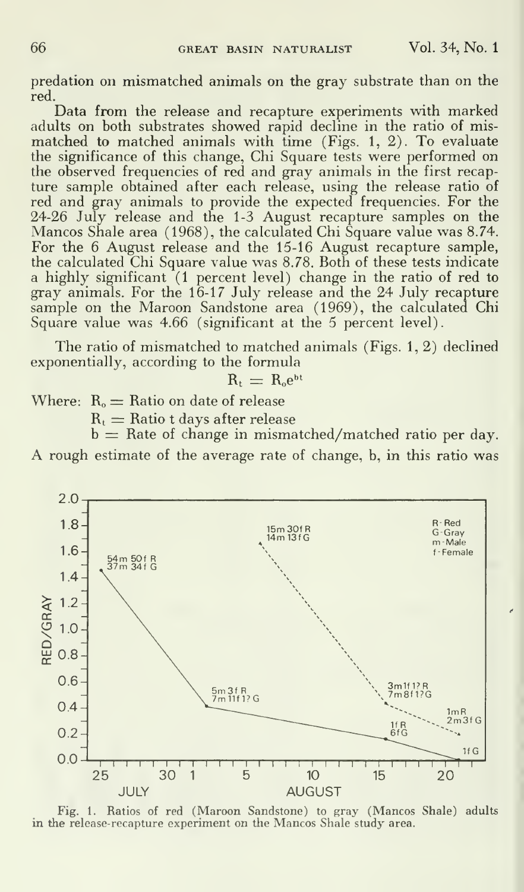predation on mismatched animals on the gray substrate than on the red.

Data from the release and recapture experiments with marked adults on both substrates showed rapid decline in the ratio of mismatched to matched animals with time (Figs. 1, 2). To evaluate the significance of this change, Chi Square tests were performed on the observed frequencies of red and gray animals in the first recapture sample obtained after each release, using the release ratio of red and gray animals to provide the expected frequencies. For the 24-26 July release and the 1-3 August recapture samples on the Mancos Shale area (1968), the calculated Chi Square value was 8.74. For the 6 August release and the 15-16 August recapture sample, the calculated Chi Square value was 8.78. Both of these tests indicate a highly significant (1 percent level) change in the ratio of red to gray animals. For the 16-17 July release and the 24 July recapture sample on the Maroon Sandstone area (1969), the calculated Chi Square value was 4.66 (significant at the 5 percent level).

The ratio of mismatched to matched animals (Figs. 1, 2) declined exponentially, according to the formula

$$
R_t = R_o e^{bt}
$$

Where:  $R_0 =$  Ratio on date of release

 $R_t$  = Ratio t days after release

 $b =$  Rate of change in mismatched/matched ratio per day.

A rough estimate of the average rate of change, b, in this ratio was



Fig. 1. Ratios of red (Maroon Sandstone) to gray (Mancos Shale) adults in the release-recapture experiment on the Mancos Shale study area.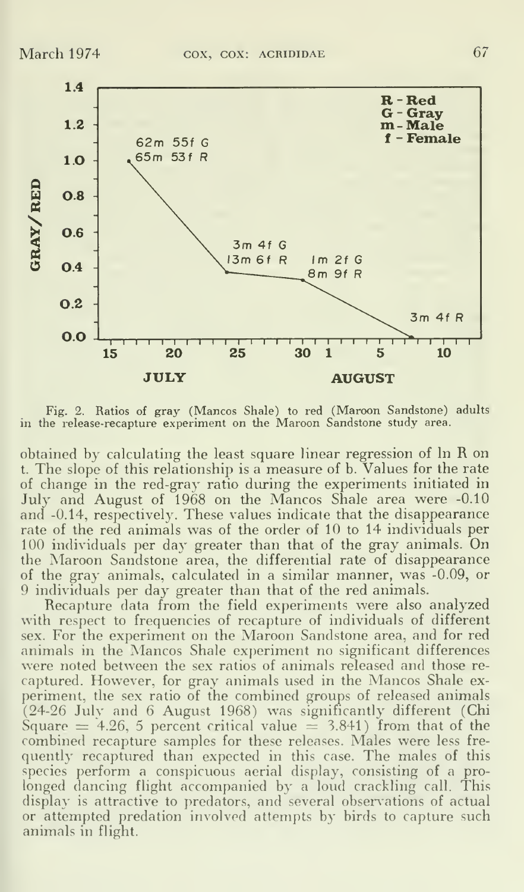

Fig. 2. Ratios of gray (Mancos Shale) to red (Maroon Sandstone) adults in the release-recapture experiment on the Maroon Sandstone study area.

obtained by calculating the least square linear regression of In R on t. The slope of this relationship is a measure of b. Values for the rate of change in the red-gray ratio during the experiments initiated in July and August of 1968 on the Mancos Shale area were -0.10 and -0.14, respectively. These values indicate that the disappearance rate of the red animals was of the order of 10 to 14 individuals per 100 individuals per day greater than that of the gray animals. On the Maroon Sandstone area, the differential rate of disappearance of the gray animals, calculated in a similar manner, was -0.09, or 9 individuals per day greater than that of the red animals.

Recapture data from the field experiments were also analyzed with respect to frequencies of recapture of individuals of different sex. For the experiment on the Maroon Sandstone area, and for red animals in the Mancos Shale experiment no significant differences were noted between the sex ratios of animals released and those re captured. However, for gray animals used in the Mancos Shale ex periment, the sex ratio of the combined groups of released animals (24-26 July and 6 August 1968) was significantly different (Chi Square = 4.26, 5 percent critical value = 3.841) from that of the combined recapture samples for these releases. Males were less fre quently recaptured than expected in this case. The males of this species perform a conspicuous aerial display, consisting of a pro longed dancing flight accompanied by a loud crackling call. This display is attractive to predators, and several observations of actual or attempted predation involved attempts by birds to capture such animals in flight.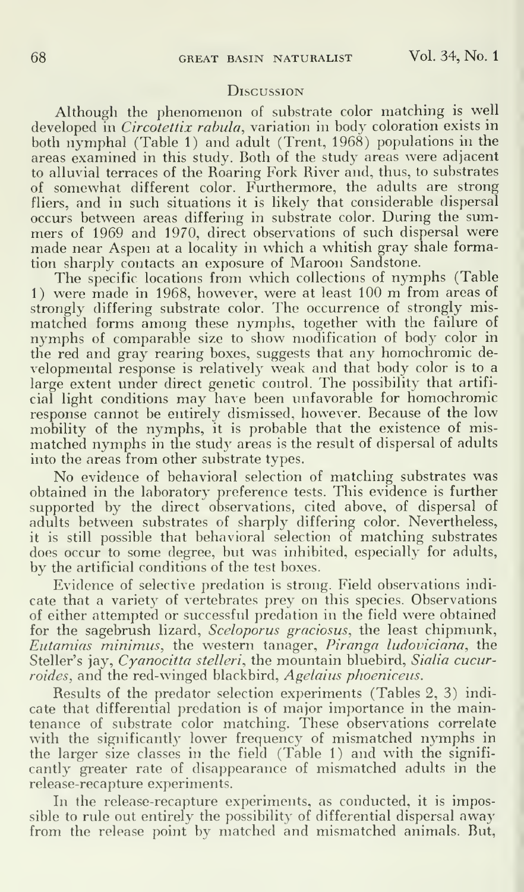#### **Discussion**

Although the phenomenon of substrate color matching is well developed in *Circotettix rabula*, variation in body coloration exists in both nymphal (Table 1) and adult (Trent, 1968) populations in the areas examined in this study. Both of the study areas were adjacent to alluvial terraces of the Roaring Fork River and, thus, to substrates of somewhat different color. Furthermore, the adults are strong fliers, and in such situations it is likely that considerable dispersal occurs between areas differing in substrate color. During the summers of 1969 and 1970, direct observations of such dispersal were made near Aspen at a locality in which a whitish gray shale formation sharply contacts an exposure of Maroon Sandstone.

The specific locations from which collections of nymphs (Table 1) were made in 1968, however, were at least <sup>100</sup> m from areas of strongly differing substrate color. The occurrence of strongly mismatched forms among these nymphs, together with the failure of nymphs of comparable size to show modification of body color in the red and gray rearing boxes, suggests that any homochromic developmental response is relatively weak and that body color is to a large extent under direct genetic control. The possibility that artifi cial light conditions may have been unfavorable for homochromic response cannot be entirely dismissed, however. Because of the low mobility of the nymphs, it is probable that the existence of mismatched nymphs in the study areas is the result of dispersal of adults into the areas from other substrate types.

No evidence of behavioral selection of matching substrates was obtained in the laboratory preference tests. This evidence is further supported by the direct observations, cited above, of dispersal of adults between substrates of sharply differing color. Nevertheless, it is still possible that behavioral selection of matching substrates does occur to some degree, but was inhibited, especially for adults, by the artificial conditions of the test boxes.

Evidence of selective predation is strong. Field observations indicate that a variety of vertebrates prey on this species. Observations of either attempted or successful predation in the field were obtained for the sagebrush lizard, Sceloporus graciosus, the least chipmunk, Eutamias minimus, the western tanager, Piranga ludoviciana, the Steller's jay, Cyanocitta stelleri, the mountain bluebird, Sialia cucurroides, and the red-winged blackbird, Agelaius phoeniceus.

Results of the predator selection experiments (Tables 2, 3) indi cate that differential predation is of major importance in the maintenance of substrate color matching. These obsersations correlate with the significantly lower frequency of mismatched nymphs in the larger size classes in the field (Table 1) and with the significantly greater rate of disappearance of mismatched adults in the release-recapture experiments.

In the release-recapture experiments, as conducted, it is impossible to rule out entirely the possibility of differential dispersal away from the release point by matched and mismatched animals. But,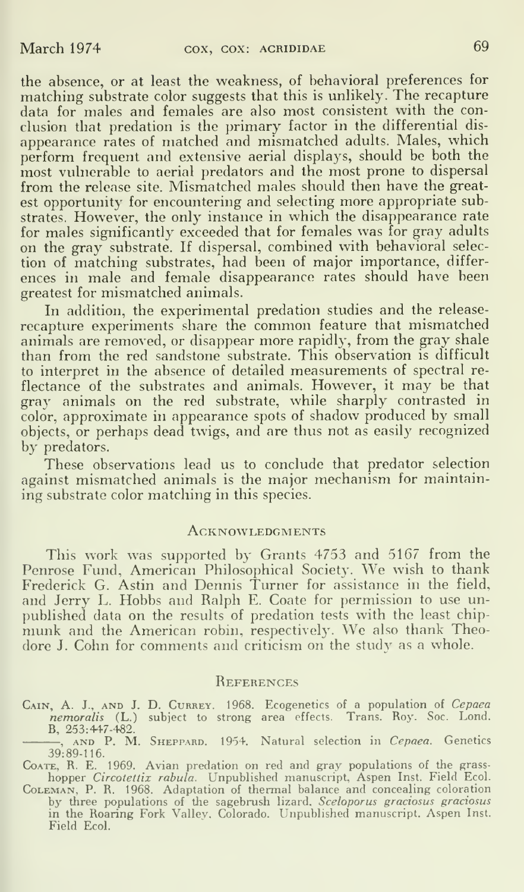the absence, or at least the weakness, of behavioral preferences for matching substrate color suggests that this is unlikely. The recapture data for males and females are also most consistent with the conclusion that predation is the primary factor in the differential dis appearance rates of matched and mismatched adults. Males, which perform frequent and extensive aerial displays, should be both the most vulnerable to aerial predators and the most prone to dispersal from the release site. Mismatched males should then have the greatest opportunity for encountering and selecting more appropriate substrates. However, the only instance in which the disappearance rate for males significantly exceeded that for females was for gray adults on the gray substrate. If dispersal, combined with behavioral selec tion of matching substrates, had been of major importance, differ ences in male and female disappearance rates should have been greatest for mismatched animals.

In addition, the experimental predation studies and the release recapture experiments share the common feature that mismatched animals are removed, or disappear more rapidly, from the gray shale than from the red sandstone substrate. This observation is difficult to interpret in the absence of detailed measurements of spectral re flectance of the substrates and animals. However, it may be that gray animals on the red substrate, while sharply contrasted in color, approximate in appearance spots of shadow produced by small objects, or perhaps dead twigs, and are thus not as easily recognized by predators.

These observations lead us to conclude that predator selection against mismatched animals is the major mechanism for maintaining substrate color matching in this species.

#### **ACKNOWLEDGMENTS**

This work was supported by Grants 4753 and 5167 from the Penrose Fund, American Philosophical Society. We wish to thank Frederick G. Astin and Dennis Turner for assistance in the field, and Jerry L. Hobbs and Ralph E. Coate for permission to use unpublished data on the results of predation tests with the least chipmunk and the American robin, respectively. We also thank Theodore J. Cohn for comments and criticism on the study as a whole.

#### **REFERENCES**

- CAIN, A. J., AND J. D. CURREY. 1968. Ecogenetics of a population of Cepaea nemoralis (L.) subject to strong area effects. Trans. Roy. Soc. Lond. B. 253:447-482.
	- -, AND P. M. SHEPPARD. 1954. Natural selection in Cepaea. Genetics 39:89-116.
- Coare, R. E. 1969. Avian predation on red and gray populations of the grass-<br>hopper *Circotettix rabula*. Unpublished manuscript, Aspen Inst. Field Ecol.
- Coleman, P. R. 1968. Adaptation of thermal balance and concealing coloration by three populations of the sagebrush lizard, *Sceloporus graciosus graciosus*<br>in the Roaring Fork Valley, Colorado. Unpublished manuscript. Aspen Inst. Field Ecol.